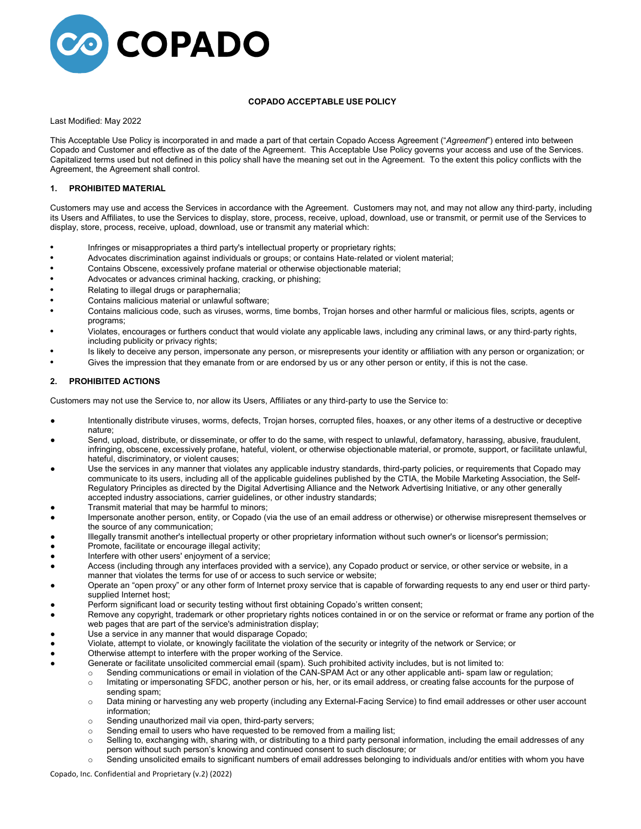

## **COPADO ACCEPTABLE USE POLICY**

#### Last Modified: May 2022

This Acceptable Use Policy is incorporated in and made a part of that certain Copado Access Agreement ("*Agreement*") entered into between Copado and Customer and effective as of the date of the Agreement. This Acceptable Use Policy governs your access and use of the Services. Capitalized terms used but not defined in this policy shall have the meaning set out in the Agreement. To the extent this policy conflicts with the Agreement, the Agreement shall control.

## **1. PROHIBITED MATERIAL**

Customers may use and access the Services in accordance with the Agreement. Customers may not, and may not allow any third‐party, including its Users and Affiliates, to use the Services to display, store, process, receive, upload, download, use or transmit, or permit use of the Services to display, store, process, receive, upload, download, use or transmit any material which:

- Infringes or misappropriates a third party's intellectual property or proprietary rights;
- Advocates discrimination against individuals or groups; or contains Hate‐related or violent material;
- Contains Obscene, excessively profane material or otherwise objectionable material;
- Advocates or advances criminal hacking, cracking, or phishing;
- Relating to illegal drugs or paraphernalia;
- Contains malicious material or unlawful software;
- Contains malicious code, such as viruses, worms, time bombs, Trojan horses and other harmful or malicious files, scripts, agents or programs;
- Violates, encourages or furthers conduct that would violate any applicable laws, including any criminal laws, or any third‐party rights, including publicity or privacy rights;
- Is likely to deceive any person, impersonate any person, or misrepresents your identity or affiliation with any person or organization; or
- Gives the impression that they emanate from or are endorsed by us or any other person or entity, if this is not the case.

#### **2. PROHIBITED ACTIONS**

Customers may not use the Service to, nor allow its Users, Affiliates or any third‐party to use the Service to:

- Intentionally distribute viruses, worms, defects, Trojan horses, corrupted files, hoaxes, or any other items of a destructive or deceptive nature;
- Send, upload, distribute, or disseminate, or offer to do the same, with respect to unlawful, defamatory, harassing, abusive, fraudulent, infringing, obscene, excessively profane, hateful, violent, or otherwise objectionable material, or promote, support, or facilitate unlawful, hateful, discriminatory, or violent causes;
- Use the services in any manner that violates any applicable industry standards, third-party policies, or requirements that Copado may communicate to its users, including all of the applicable guidelines published by the CTIA, the Mobile Marketing Association, the Self-Regulatory Principles as directed by the Digital Advertising Alliance and the Network Advertising Initiative, or any other generally accepted industry associations, carrier guidelines, or other industry standards;
- Transmit material that may be harmful to minors;
- Impersonate another person, entity, or Copado (via the use of an email address or otherwise) or otherwise misrepresent themselves or the source of any communication;
- Illegally transmit another's intellectual property or other proprietary information without such owner's or licensor's permission;
- Promote, facilitate or encourage illegal activity;
- Interfere with other users' enjoyment of a service;
- Access (including through any interfaces provided with a service), any Copado product or service, or other service or website, in a manner that violates the terms for use of or access to such service or website;
- Operate an "open proxy" or any other form of Internet proxy service that is capable of forwarding requests to any end user or third partysupplied Internet host;
- Perform significant load or security testing without first obtaining Copado's written consent;
- Remove any copyright, trademark or other proprietary rights notices contained in or on the service or reformat or frame any portion of the web pages that are part of the service's administration display;
- Use a service in any manner that would disparage Copado;
- Violate, attempt to violate, or knowingly facilitate the violation of the security or integrity of the network or Service; or
- Otherwise attempt to interfere with the proper working of the Service.
	- Generate or facilitate unsolicited commercial email (spam). Such prohibited activity includes, but is not limited to:
		- $\circ$  Sending communications or email in violation of the CAN-SPAM Act or any other applicable anti- spam law or regulation;<br>Initating or impersonating SFDC, another person or his, her, or its email address, or creating fa
			- Imitating or impersonating SFDC, another person or his, her, or its email address, or creating false accounts for the purpose of sending spam;
			- o Data mining or harvesting any web property (including any External-Facing Service) to find email addresses or other user account information;
			- o Sending unauthorized mail via open, third-party servers;
			- $\circ$  Sending email to users who have requested to be removed from a mailing list;<br> $\circ$  Selling to, exchanging with, sharing with, or distributing to a third party personal
			- Selling to, exchanging with, sharing with, or distributing to a third party personal information, including the email addresses of any person without such person's knowing and continued consent to such disclosure; or
			- o Sending unsolicited emails to significant numbers of email addresses belonging to individuals and/or entities with whom you have